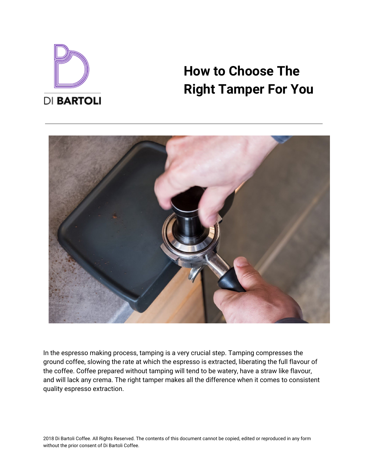

# **How to Choose The Right Tamper For You**



In the espresso making process, tamping is a very crucial step. Tamping compresses the ground coffee, slowing the rate at which the espresso is extracted, liberating the full flavour of the coffee. Coffee prepared without tamping will tend to be watery, have a straw like flavour, and will lack any crema. The right tamper makes all the difference when it comes to consistent quality espresso extraction.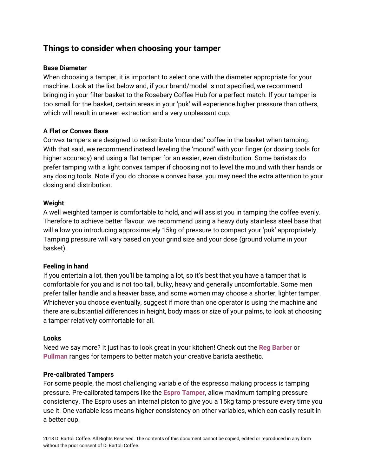## **Things to consider when choosing your tamper**

#### **Base Diameter**

When choosing a tamper, it is important to select one with the diameter appropriate for your machine. Look at the list below and, if your brand/model is not specified, we recommend bringing in your filter basket to the Rosebery Coffee Hub for a perfect match. If your tamper is too small for the basket, certain areas in your 'puk' will experience higher pressure than others, which will result in uneven extraction and a very unpleasant cup.

#### **A Flat or Convex Base**

Convex tampers are designed to redistribute 'mounded' coffee in the basket when tamping. With that said, we recommend instead leveling the 'mound' with your finger (or dosing tools for higher accuracy) and using a flat tamper for an easier, even distribution. Some baristas do prefer tamping with a light convex tamper if choosing not to level the mound with their hands or any dosing tools. Note if you do choose a convex base, you may need the extra attention to your dosing and distribution.

#### **Weight**

A well weighted tamper is comfortable to hold, and will assist you in tamping the coffee evenly. Therefore to achieve better flavour, we recommend using a heavy duty stainless steel base that will allow you introducing approximately 15kg of pressure to compact your 'puk' appropriately. Tamping pressure will vary based on your grind size and your dose (ground volume in your basket).

#### **Feeling in hand**

If you entertain a lot, then you'll be tamping a lot, so it's best that you have a tamper that is comfortable for you and is not too tall, bulky, heavy and generally uncomfortable. Some men prefer taller handle and a heavier base, and some women may choose a shorter, lighter tamper. Whichever you choose eventually, suggest if more than one operator is using the machine and there are substantial differences in height, body mass or size of your palms, to look at choosing a tamper relatively comfortable for all.

#### **Looks**

Need we say more? It just has to look great in your kitchen! Check out the **Reg [Barber](https://dibartoli.com.au/reg-barber-tamper/)** or **[Pullman](https://dibartoli.com.au/pullman-tampers/)** ranges for tampers to better match your creative barista aesthetic.

#### **Pre-calibrated Tampers**

For some people, the most challenging variable of the espresso making process is tamping pressure. Pre-calibrated tampers like the **Espro [Tamper](https://dibartoli.com.au/espro-click-tamper/)**, allow maximum tamping pressure consistency. The Espro uses an internal piston to give you a 15kg tamp pressure every time you use it. One variable less means higher consistency on other variables, which can easily result in a better cup.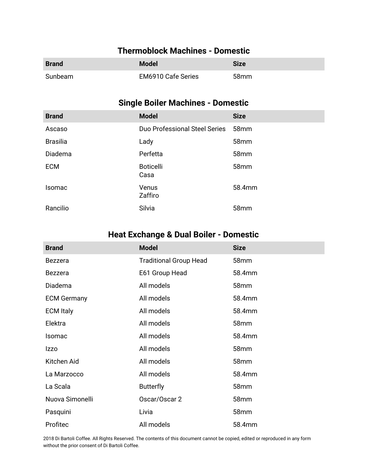### **Thermoblock Machines - Domestic**

| <b>Brand</b> | <b>Model</b>              | <b>Size</b>      |
|--------------|---------------------------|------------------|
| Sunbeam      | <b>EM6910 Cafe Series</b> | 58 <sub>mm</sub> |

## **Single Boiler Machines - Domestic**

| <b>Brand</b>    | <b>Model</b>                  | <b>Size</b>      |
|-----------------|-------------------------------|------------------|
| Ascaso          | Duo Professional Steel Series | 58mm             |
| <b>Brasilia</b> | Lady                          | 58mm             |
| Diadema         | Perfetta                      | 58 <sub>mm</sub> |
| <b>ECM</b>      | <b>Boticelli</b><br>Casa      | 58mm             |
| Isomac          | Venus<br>Zaffiro              | 58.4mm           |
| Rancilio        | Silvia                        | 58mm             |

# **Heat Exchange & Dual Boiler - Domestic**

| <b>Brand</b>       | <b>Model</b>                  | <b>Size</b>      |
|--------------------|-------------------------------|------------------|
| <b>Bezzera</b>     | <b>Traditional Group Head</b> | 58 <sub>mm</sub> |
| <b>Bezzera</b>     | E61 Group Head                | 58.4mm           |
| Diadema            | All models                    | 58 <sub>mm</sub> |
| <b>ECM Germany</b> | All models                    | 58.4mm           |
| <b>ECM Italy</b>   | All models                    | 58.4mm           |
| Elektra            | All models                    | 58mm             |
| Isomac             | All models                    | 58.4mm           |
| <b>Izzo</b>        | All models                    | 58mm             |
| Kitchen Aid        | All models                    | 58mm             |
| La Marzocco        | All models                    | 58.4mm           |
| La Scala           | <b>Butterfly</b>              | 58mm             |
| Nuova Simonelli    | Oscar/Oscar 2                 | 58mm             |
| Pasquini           | Livia                         | 58 <sub>mm</sub> |
| Profitec           | All models                    | 58.4mm           |

2018 Di Bartoli Coffee. All Rights Reserved. The contents of this document cannot be copied, edited or reproduced in any form without the prior consent of Di Bartoli Coffee.